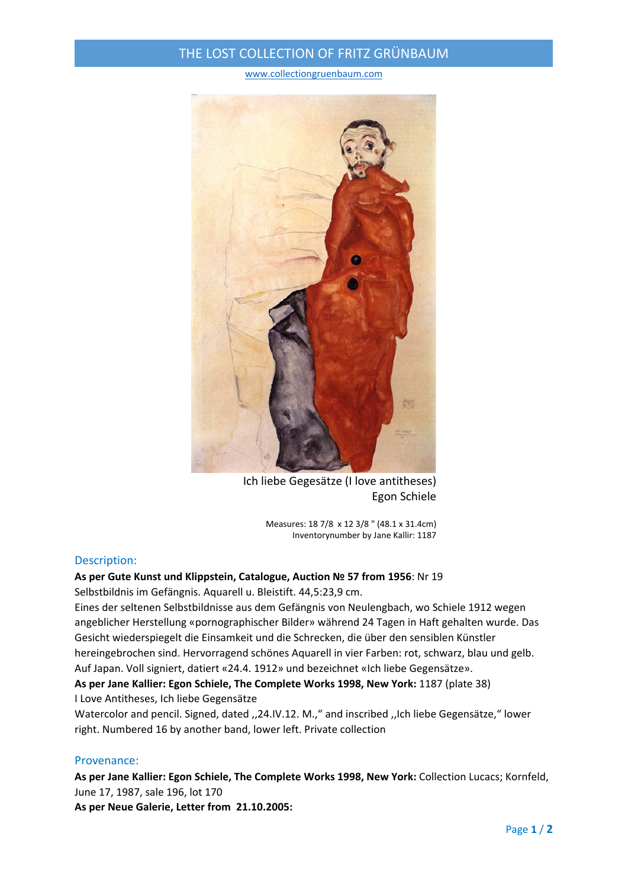### THE LOST COLLECTION OF FRITZ GRÜNBAUM

#### www.collectiongruenbaum.com



Ich liebe Gegesätze (I love antitheses) Egon Schiele

Measures: 18 7/8 x 12 3/8 " (48.1 x 31.4cm) Inventorynumber by Jane Kallir: 1187

#### Description:

# **As per Gute Kunst und Klippstein, Catalogue, Auction № 57 from 1956**: Nr 19

Selbstbildnis im Gefängnis. Aquarell u. Bleistift. 44,5:23,9 cm.

Eines der seltenen Selbstbildnisse aus dem Gefängnis von Neulengbach, wo Schiele 1912 wegen angeblicher Herstellung «pornographischer Bilder» während 24 Tagen in Haft gehalten wurde. Das Gesicht wiederspiegelt die Einsamkeit und die Schrecken, die über den sensiblen Künstler hereingebrochen sind. Hervorragend schönes Aquarell in vier Farben: rot, schwarz, blau und gelb. Auf Japan. Voll signiert, datiert «24.4. 1912» und bezeichnet «Ich liebe Gegensätze».

### **As per Jane Kallier: Egon Schiele, The Complete Works 1998, New York:** 1187 (plate 38) I Love Antitheses, Ich liebe Gegensätze

Watercolor and pencil. Signed, dated ,,24.IV.12. M.," and inscribed ,,Ich liebe Gegensätze," lower right. Numbered 16 by another band, lower left. Private collection

#### Provenance:

**As per Jane Kallier: Egon Schiele, The Complete Works 1998, New York:** Collection Lucacs; Kornfeld, June 17, 1987, sale 196, lot 170

**As per Neue Galerie, Letter from 21.10.2005:**